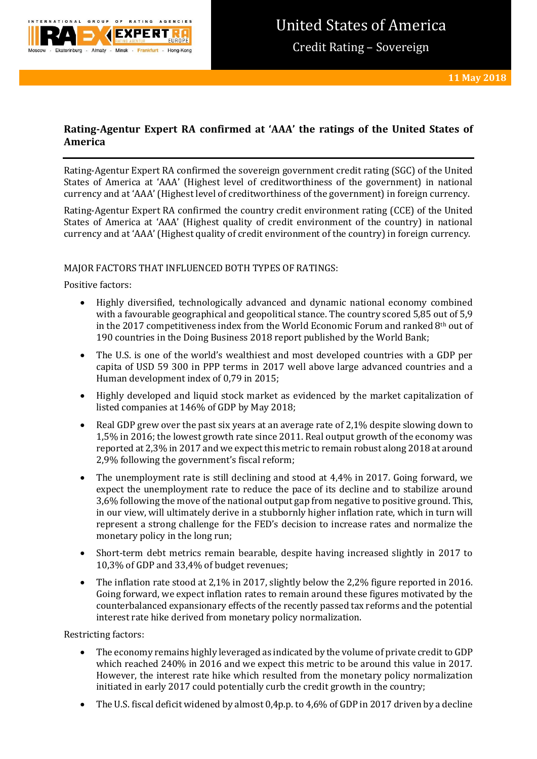

# **Rating-Agentur Expert RA confirmed at 'AAA' the ratings of the United States of America**

Rating-Agentur Expert RA confirmed the sovereign government credit rating (SGC) of the United States of America at 'AAA' (Highest level of creditworthiness of the government) in national currency and at 'AAA' (Highest level of creditworthiness of the government) in foreign currency.

Rating-Agentur Expert RA confirmed the country credit environment rating (CCE) of the United States of America at 'AAA' (Highest quality of credit environment of the country) in national currency and at 'AAA' (Highest quality of credit environment of the country) in foreign currency.

## MAJOR FACTORS THAT INFLUENCED BOTH TYPES OF RATINGS:

Positive factors:

- Highly diversified, technologically advanced and dynamic national economy combined with a favourable geographical and geopolitical stance. The country scored 5,85 out of 5,9 in the 2017 competitiveness index from the World Economic Forum and ranked 8th out of 190 countries in the Doing Business 2018 report published by the World Bank;
- The U.S. is one of the world's wealthiest and most developed countries with a GDP per capita of USD 59 300 in PPP terms in 2017 well above large advanced countries and a Human development index of 0,79 in 2015;
- Highly developed and liquid stock market as evidenced by the market capitalization of listed companies at 146% of GDP by May 2018;
- Real GDP grew over the past six years at an average rate of 2,1% despite slowing down to 1,5% in 2016; the lowest growth rate since 2011. Real output growth of the economy was reported at 2,3% in 2017 and we expect this metric to remain robust along 2018 at around 2,9% following the government's fiscal reform;
- The unemployment rate is still declining and stood at 4,4% in 2017. Going forward, we expect the unemployment rate to reduce the pace of its decline and to stabilize around 3,6% following the move of the national output gap from negative to positive ground. This, in our view, will ultimately derive in a stubbornly higher inflation rate, which in turn will represent a strong challenge for the FED's decision to increase rates and normalize the monetary policy in the long run;
- Short-term debt metrics remain bearable, despite having increased slightly in 2017 to 10,3% of GDP and 33,4% of budget revenues;
- The inflation rate stood at 2,1% in 2017, slightly below the 2,2% figure reported in 2016. Going forward, we expect inflation rates to remain around these figures motivated by the counterbalanced expansionary effects of the recently passed tax reforms and the potential interest rate hike derived from monetary policy normalization.

Restricting factors:

- The economy remains highly leveraged as indicated by the volume of private credit to GDP which reached 240% in 2016 and we expect this metric to be around this value in 2017. However, the interest rate hike which resulted from the monetary policy normalization initiated in early 2017 could potentially curb the credit growth in the country;
- The U.S. fiscal deficit widened by almost 0,4p.p. to 4,6% of GDP in 2017 driven by a decline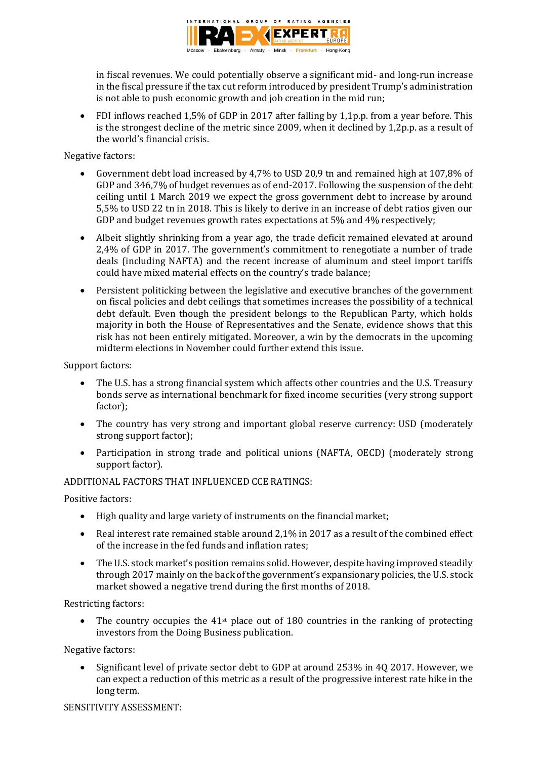

in fiscal revenues. We could potentially observe a significant mid- and long-run increase in the fiscal pressure if the tax cut reform introduced by president Trump's administration is not able to push economic growth and job creation in the mid run;

 FDI inflows reached 1,5% of GDP in 2017 after falling by 1,1p.p. from a year before. This is the strongest decline of the metric since 2009, when it declined by 1,2p.p. as a result of the world's financial crisis.

Negative factors:

- Government debt load increased by 4,7% to USD 20,9 tn and remained high at 107,8% of GDP and 346,7% of budget revenues as of end-2017. Following the suspension of the debt ceiling until 1 March 2019 we expect the gross government debt to increase by around 5,5% to USD 22 tn in 2018. This is likely to derive in an increase of debt ratios given our GDP and budget revenues growth rates expectations at 5% and 4% respectively;
- Albeit slightly shrinking from a year ago, the trade deficit remained elevated at around 2,4% of GDP in 2017. The government's commitment to renegotiate a number of trade deals (including NAFTA) and the recent increase of aluminum and steel import tariffs could have mixed material effects on the country's trade balance;
- Persistent politicking between the legislative and executive branches of the government on fiscal policies and debt ceilings that sometimes increases the possibility of a technical debt default. Even though the president belongs to the Republican Party, which holds majority in both the House of Representatives and the Senate, evidence shows that this risk has not been entirely mitigated. Moreover, a win by the democrats in the upcoming midterm elections in November could further extend this issue.

Support factors:

- The U.S. has a strong financial system which affects other countries and the U.S. Treasury bonds serve as international benchmark for fixed income securities (very strong support factor);
- The country has very strong and important global reserve currency: USD (moderately strong support factor);
- Participation in strong trade and political unions (NAFTA, OECD) (moderately strong support factor).

## ADDITIONAL FACTORS THAT INFLUENCED CCE RATINGS:

Positive factors:

- High quality and large variety of instruments on the financial market;
- Real interest rate remained stable around 2,1% in 2017 as a result of the combined effect of the increase in the fed funds and inflation rates;
- The U.S. stock market's position remains solid. However, despite having improved steadily through 2017 mainly on the back of the government's expansionary policies, the U.S. stock market showed a negative trend during the first months of 2018.

Restricting factors:

 $\bullet$  The country occupies the 41<sup>st</sup> place out of 180 countries in the ranking of protecting investors from the Doing Business publication.

Negative factors:

 Significant level of private sector debt to GDP at around 253% in 4Q 2017. However, we can expect a reduction of this metric as a result of the progressive interest rate hike in the long term.

SENSITIVITY ASSESSMENT: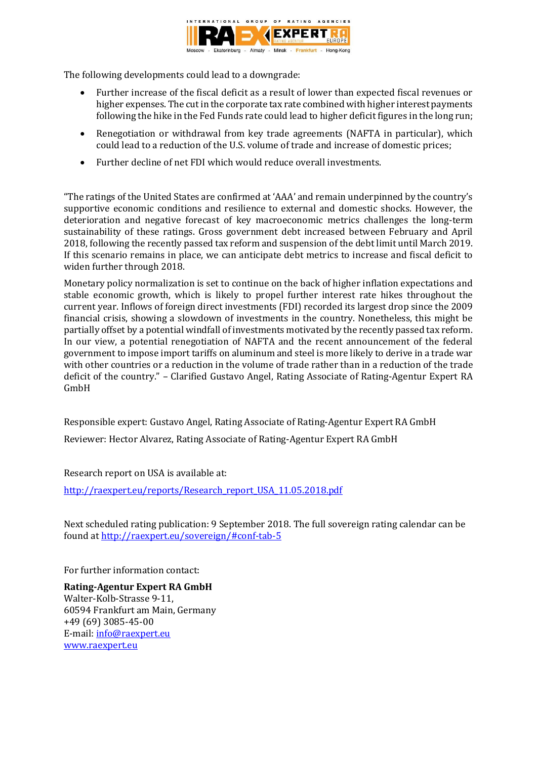

The following developments could lead to a downgrade:

- Further increase of the fiscal deficit as a result of lower than expected fiscal revenues or higher expenses. The cut in the corporate tax rate combined with higher interest payments following the hike in the Fed Funds rate could lead to higher deficit figures in the long run;
- Renegotiation or withdrawal from key trade agreements (NAFTA in particular), which could lead to a reduction of the U.S. volume of trade and increase of domestic prices;
- Further decline of net FDI which would reduce overall investments.

"The ratings of the United States are confirmed at 'AAA' and remain underpinned by the country's supportive economic conditions and resilience to external and domestic shocks. However, the deterioration and negative forecast of key macroeconomic metrics challenges the long-term sustainability of these ratings. Gross government debt increased between February and April 2018, following the recently passed tax reform and suspension of the debt limit until March 2019. If this scenario remains in place, we can anticipate debt metrics to increase and fiscal deficit to widen further through 2018.

Monetary policy normalization is set to continue on the back of higher inflation expectations and stable economic growth, which is likely to propel further interest rate hikes throughout the current year. Inflows of foreign direct investments (FDI) recorded its largest drop since the 2009 financial crisis, showing a slowdown of investments in the country. Nonetheless, this might be partially offset by a potential windfall of investments motivated by the recently passed tax reform. In our view, a potential renegotiation of NAFTA and the recent announcement of the federal government to impose import tariffs on aluminum and steel is more likely to derive in a trade war with other countries or a reduction in the volume of trade rather than in a reduction of the trade deficit of the country." – Clarified Gustavo Angel, Rating Associate of Rating-Agentur Expert RA GmbH

Responsible expert: Gustavo Angel, Rating Associate of Rating-Agentur Expert RA GmbH Reviewer: Hector Alvarez, Rating Associate of Rating-Agentur Expert RA GmbH

Research report on USA is available at:

[http://raexpert.eu/reports/Research\\_report\\_USA\\_11.05.2018.pdf](http://raexpert.eu/reports/Research_report_USA_11.05.2018.pdf)

Next scheduled rating publication: 9 September 2018. The full sovereign rating calendar can be found at <http://raexpert.eu/sovereign/#conf-tab-5>

For further information contact:

**Rating-Agentur Expert RA GmbH** Walter-Kolb-Strasse 9-11, 60594 Frankfurt am Main, Germany +49 (69) 3085-45-00 E-mail[: info@raexpert.eu](mailto:info@raexpert.eu) [www.raexpert.eu](http://raexpert.eu/)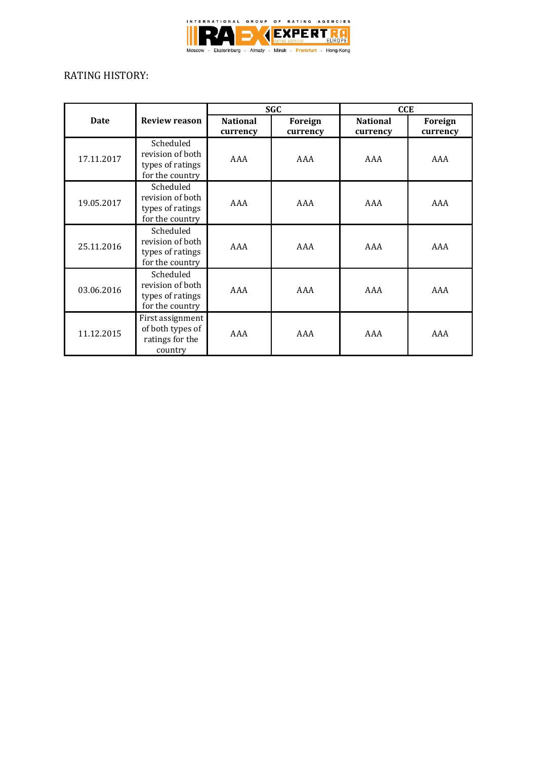

# RATING HISTORY:

| <b>Date</b> | <b>Review reason</b>                                                 | <b>SGC</b>                  |                     | <b>CCE</b>                  |                     |
|-------------|----------------------------------------------------------------------|-----------------------------|---------------------|-----------------------------|---------------------|
|             |                                                                      | <b>National</b><br>currency | Foreign<br>currency | <b>National</b><br>currency | Foreign<br>currency |
| 17.11.2017  | Scheduled<br>revision of both<br>types of ratings<br>for the country | AAA                         | AAA                 | AAA                         | AAA                 |
| 19.05.2017  | Scheduled<br>revision of both<br>types of ratings<br>for the country | AAA                         | AAA                 | AAA                         | AAA                 |
| 25.11.2016  | Scheduled<br>revision of both<br>types of ratings<br>for the country | AAA                         | AAA                 | AAA                         | AAA                 |
| 03.06.2016  | Scheduled<br>revision of both<br>types of ratings<br>for the country | AAA                         | AAA                 | AAA                         | AAA                 |
| 11.12.2015  | First assignment<br>of both types of<br>ratings for the<br>country   | AAA                         | AAA                 | AAA                         | AAA                 |